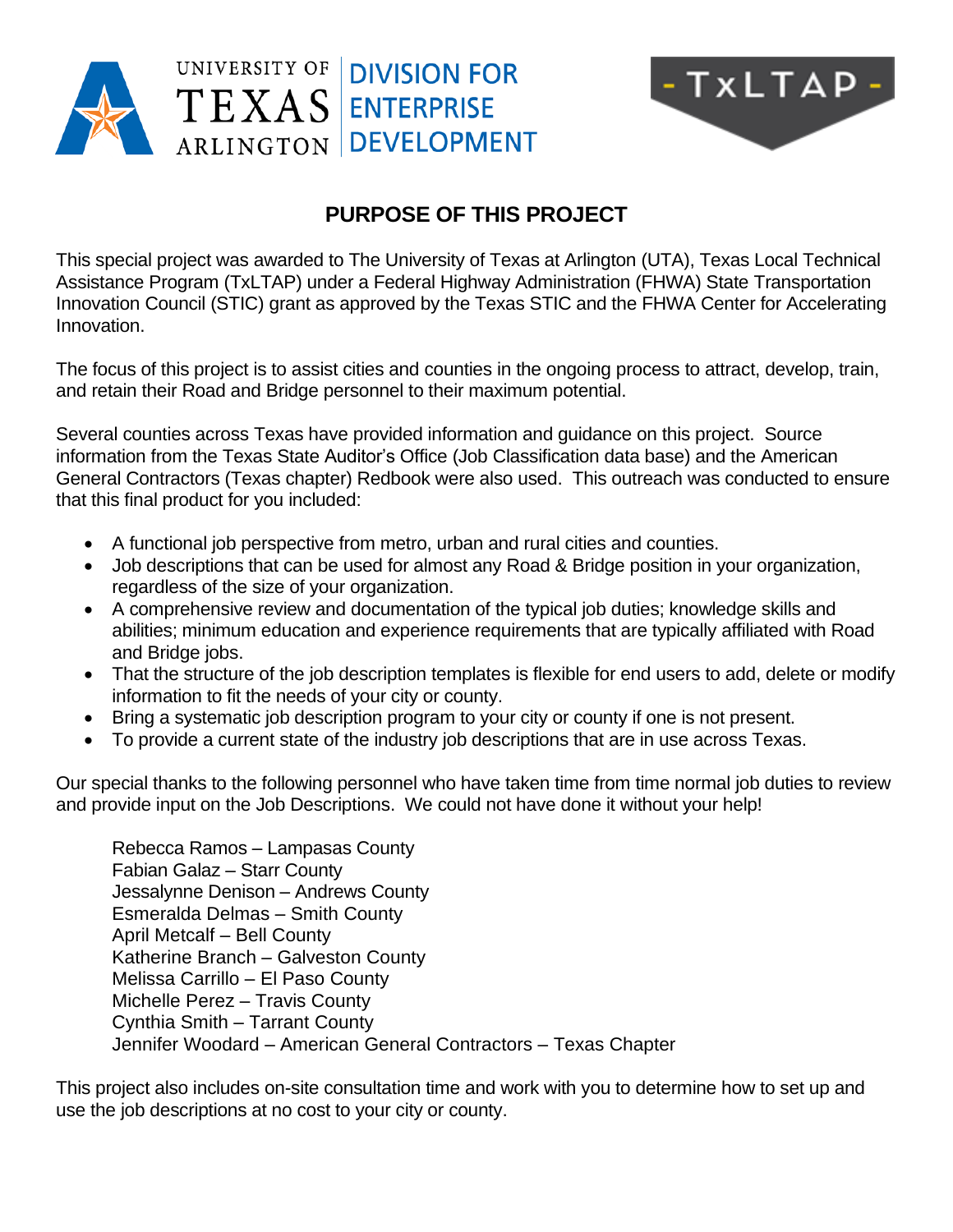



## **PURPOSE OF THIS PROJECT**

This special project was awarded to The University of Texas at Arlington (UTA), Texas Local Technical Assistance Program (TxLTAP) under a Federal Highway Administration (FHWA) State Transportation Innovation Council (STIC) grant as approved by the Texas STIC and the FHWA Center for Accelerating Innovation.

The focus of this project is to assist cities and counties in the ongoing process to attract, develop, train, and retain their Road and Bridge personnel to their maximum potential.

Several counties across Texas have provided information and guidance on this project. Source information from the Texas State Auditor's Office (Job Classification data base) and the American General Contractors (Texas chapter) Redbook were also used. This outreach was conducted to ensure that this final product for you included:

- A functional job perspective from metro, urban and rural cities and counties.
- Job descriptions that can be used for almost any Road & Bridge position in your organization, regardless of the size of your organization.
- A comprehensive review and documentation of the typical job duties; knowledge skills and abilities; minimum education and experience requirements that are typically affiliated with Road and Bridge jobs.
- That the structure of the job description templates is flexible for end users to add, delete or modify information to fit the needs of your city or county.
- Bring a systematic job description program to your city or county if one is not present.
- To provide a current state of the industry job descriptions that are in use across Texas.

Our special thanks to the following personnel who have taken time from time normal job duties to review and provide input on the Job Descriptions. We could not have done it without your help!

Rebecca Ramos – Lampasas County Fabian Galaz – Starr County Jessalynne Denison – Andrews County Esmeralda Delmas – Smith County April Metcalf – Bell County Katherine Branch – Galveston County Melissa Carrillo – El Paso County Michelle Perez – Travis County Cynthia Smith – Tarrant County Jennifer Woodard – American General Contractors – Texas Chapter

This project also includes on-site consultation time and work with you to determine how to set up and use the job descriptions at no cost to your city or county.